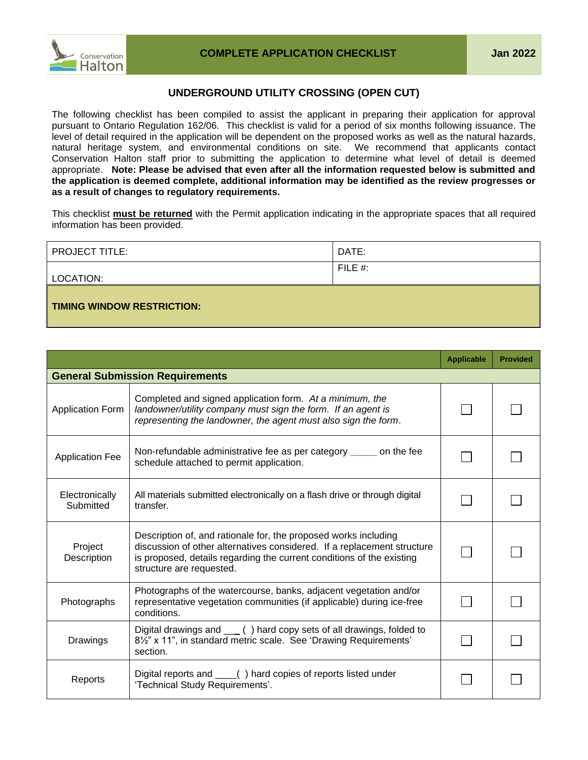

## **UNDERGROUND UTILITY CROSSING (OPEN CUT)**

The following checklist has been compiled to assist the applicant in preparing their application for approval pursuant to Ontario Regulation 162/06. This checklist is valid for a period of six months following issuance. The level of detail required in the application will be dependent on the proposed works as well as the natural hazards, natural heritage system, and environmental conditions on site. We recommend that applicants contact Conservation Halton staff prior to submitting the application to determine what level of detail is deemed appropriate. **Note: Please be advised that even after all the information requested below is submitted and the application is deemed complete, additional information may be identified as the review progresses or as a result of changes to regulatory requirements.**

This checklist **must be returned** with the Permit application indicating in the appropriate spaces that all required information has been provided.

| <b>PROJECT TITLE:</b>      | DATE:      |
|----------------------------|------------|
| LOCATION:                  | FILE $#$ : |
| TIMING WINDOW RESTRICTION: |            |

|                             |                                                                                                                                                                                                                                                 | <b>Applicable</b> | <b>Provided</b> |
|-----------------------------|-------------------------------------------------------------------------------------------------------------------------------------------------------------------------------------------------------------------------------------------------|-------------------|-----------------|
|                             | <b>General Submission Requirements</b>                                                                                                                                                                                                          |                   |                 |
| <b>Application Form</b>     | Completed and signed application form. At a minimum, the<br>landowner/utility company must sign the form. If an agent is<br>representing the landowner, the agent must also sign the form.                                                      |                   |                 |
| <b>Application Fee</b>      | Non-refundable administrative fee as per category ______ on the fee<br>schedule attached to permit application.                                                                                                                                 |                   |                 |
| Electronically<br>Submitted | All materials submitted electronically on a flash drive or through digital<br>transfer.                                                                                                                                                         |                   |                 |
| Project<br>Description      | Description of, and rationale for, the proposed works including<br>discussion of other alternatives considered. If a replacement structure<br>is proposed, details regarding the current conditions of the existing<br>structure are requested. |                   |                 |
| Photographs                 | Photographs of the watercourse, banks, adjacent vegetation and/or<br>representative vegetation communities (if applicable) during ice-free<br>conditions.                                                                                       |                   |                 |
| <b>Drawings</b>             | Digital drawings and ___ () hard copy sets of all drawings, folded to<br>8 <sup>1</sup> / <sub>2</sub> " x 11", in standard metric scale. See 'Drawing Requirements'<br>section.                                                                |                   |                 |
| Reports                     | Digital reports and ____() hard copies of reports listed under<br>'Technical Study Requirements'.                                                                                                                                               |                   |                 |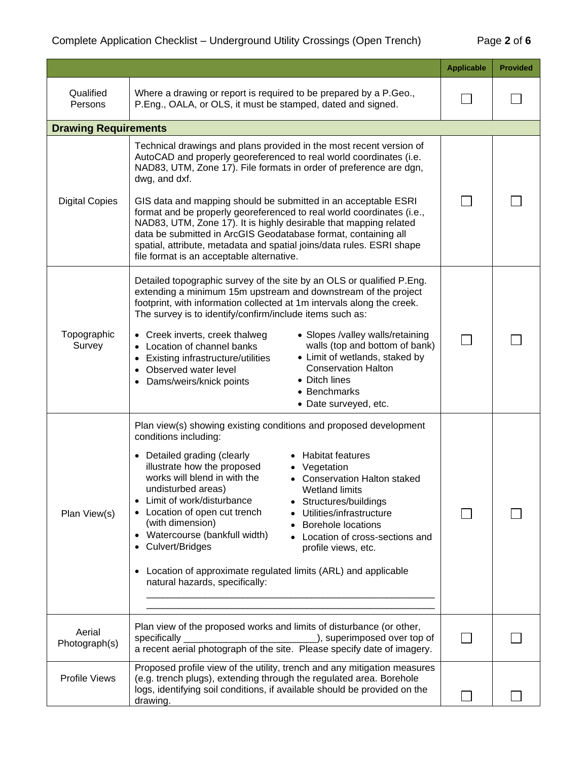|                             |                                                                                                                                                                                                                                                                                                                                                                                                                                                                                                                                                                                                                                                                                              | <b>Applicable</b> | <b>Provided</b> |
|-----------------------------|----------------------------------------------------------------------------------------------------------------------------------------------------------------------------------------------------------------------------------------------------------------------------------------------------------------------------------------------------------------------------------------------------------------------------------------------------------------------------------------------------------------------------------------------------------------------------------------------------------------------------------------------------------------------------------------------|-------------------|-----------------|
| Qualified<br>Persons        | Where a drawing or report is required to be prepared by a P.Geo.,<br>P.Eng., OALA, or OLS, it must be stamped, dated and signed.                                                                                                                                                                                                                                                                                                                                                                                                                                                                                                                                                             |                   |                 |
| <b>Drawing Requirements</b> |                                                                                                                                                                                                                                                                                                                                                                                                                                                                                                                                                                                                                                                                                              |                   |                 |
| <b>Digital Copies</b>       | Technical drawings and plans provided in the most recent version of<br>AutoCAD and properly georeferenced to real world coordinates (i.e.<br>NAD83, UTM, Zone 17). File formats in order of preference are dgn,<br>dwg, and dxf.<br>GIS data and mapping should be submitted in an acceptable ESRI<br>format and be properly georeferenced to real world coordinates (i.e.,<br>NAD83, UTM, Zone 17). It is highly desirable that mapping related<br>data be submitted in ArcGIS Geodatabase format, containing all<br>spatial, attribute, metadata and spatial joins/data rules. ESRI shape<br>file format is an acceptable alternative.                                                     |                   |                 |
| Topographic<br>Survey       | Detailed topographic survey of the site by an OLS or qualified P.Eng.<br>extending a minimum 15m upstream and downstream of the project<br>footprint, with information collected at 1m intervals along the creek.<br>The survey is to identify/confirm/include items such as:<br>• Slopes /valley walls/retaining<br>• Creek inverts, creek thalweg<br>walls (top and bottom of bank)<br>• Location of channel banks<br>• Limit of wetlands, staked by<br>• Existing infrastructure/utilities<br><b>Conservation Halton</b><br>Observed water level<br>• Ditch lines<br>• Dams/weirs/knick points<br>• Benchmarks<br>• Date surveyed, etc.                                                   |                   |                 |
| Plan View(s)                | Plan view(s) showing existing conditions and proposed development<br>conditions including:<br>• Detailed grading (clearly<br>• Habitat features<br>illustrate how the proposed<br>• Vegetation<br>works will blend in with the<br>• Conservation Halton staked<br>undisturbed areas)<br>Wetland limits<br>Limit of work/disturbance<br>Structures/buildings<br>Location of open cut trench<br>Utilities/infrastructure<br>(with dimension)<br><b>Borehole locations</b><br>• Watercourse (bankfull width)<br>Location of cross-sections and<br>• Culvert/Bridges<br>profile views, etc.<br>• Location of approximate regulated limits (ARL) and applicable<br>natural hazards, specifically: |                   |                 |
| Aerial<br>Photograph(s)     | Plan view of the proposed works and limits of disturbance (or other,<br>specifically _<br>a recent aerial photograph of the site. Please specify date of imagery.                                                                                                                                                                                                                                                                                                                                                                                                                                                                                                                            |                   |                 |
| Profile Views               | Proposed profile view of the utility, trench and any mitigation measures<br>(e.g. trench plugs), extending through the regulated area. Borehole<br>logs, identifying soil conditions, if available should be provided on the<br>drawing.                                                                                                                                                                                                                                                                                                                                                                                                                                                     |                   |                 |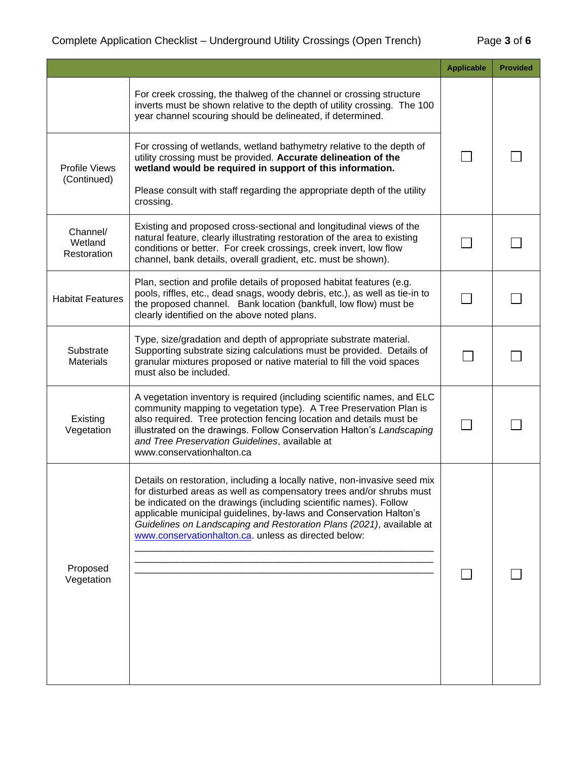|                                    |                                                                                                                                                                                                                                                                                                                                                                                                                              | <b>Applicable</b> | <b>Provided</b> |
|------------------------------------|------------------------------------------------------------------------------------------------------------------------------------------------------------------------------------------------------------------------------------------------------------------------------------------------------------------------------------------------------------------------------------------------------------------------------|-------------------|-----------------|
|                                    | For creek crossing, the thalweg of the channel or crossing structure<br>inverts must be shown relative to the depth of utility crossing. The 100<br>year channel scouring should be delineated, if determined.                                                                                                                                                                                                               |                   |                 |
| Profile Views<br>(Continued)       | For crossing of wetlands, wetland bathymetry relative to the depth of<br>utility crossing must be provided. Accurate delineation of the<br>wetland would be required in support of this information.                                                                                                                                                                                                                         |                   |                 |
|                                    | Please consult with staff regarding the appropriate depth of the utility<br>crossing.                                                                                                                                                                                                                                                                                                                                        |                   |                 |
| Channel/<br>Wetland<br>Restoration | Existing and proposed cross-sectional and longitudinal views of the<br>natural feature, clearly illustrating restoration of the area to existing<br>conditions or better. For creek crossings, creek invert, low flow<br>channel, bank details, overall gradient, etc. must be shown).                                                                                                                                       |                   |                 |
| <b>Habitat Features</b>            | Plan, section and profile details of proposed habitat features (e.g.<br>pools, riffles, etc., dead snags, woody debris, etc.), as well as tie-in to<br>the proposed channel. Bank location (bankfull, low flow) must be<br>clearly identified on the above noted plans.                                                                                                                                                      |                   |                 |
| Substrate<br><b>Materials</b>      | Type, size/gradation and depth of appropriate substrate material.<br>Supporting substrate sizing calculations must be provided. Details of<br>granular mixtures proposed or native material to fill the void spaces<br>must also be included.                                                                                                                                                                                |                   |                 |
| Existing<br>Vegetation             | A vegetation inventory is required (including scientific names, and ELC<br>community mapping to vegetation type). A Tree Preservation Plan is<br>also required. Tree protection fencing location and details must be<br>illustrated on the drawings. Follow Conservation Halton's Landscaping<br>and Tree Preservation Guidelines, available at<br>www.conservationhalton.ca                                                 |                   |                 |
| Proposed<br>Vegetation             | Details on restoration, including a locally native, non-invasive seed mix<br>for disturbed areas as well as compensatory trees and/or shrubs must<br>be indicated on the drawings (including scientific names). Follow<br>applicable municipal guidelines, by-laws and Conservation Halton's<br>Guidelines on Landscaping and Restoration Plans (2021), available at<br>www.conservationhalton.ca. unless as directed below: |                   |                 |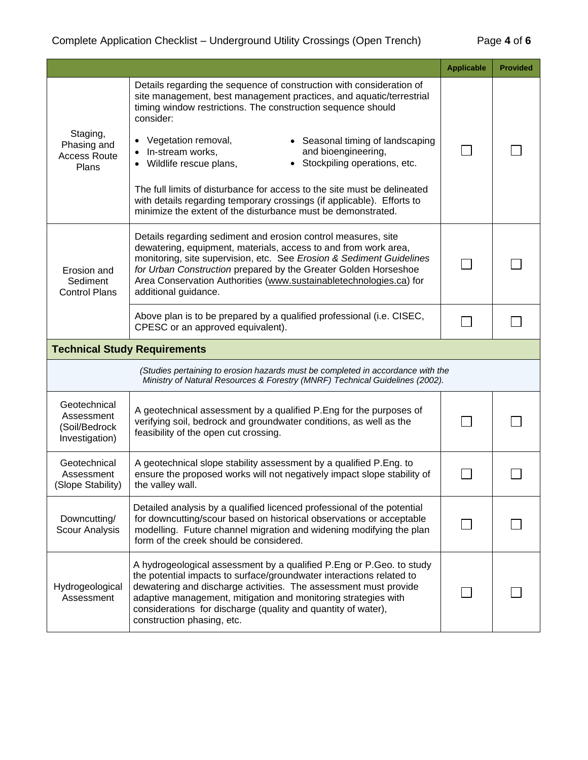|                                                                                                                                                                                                                                                                                                                                                                                                                              |                                                                                                                                                                                                                                                                                                                                                                                                                                                                                                                                                                                                                  | <b>Applicable</b> | <b>Provided</b> |
|------------------------------------------------------------------------------------------------------------------------------------------------------------------------------------------------------------------------------------------------------------------------------------------------------------------------------------------------------------------------------------------------------------------------------|------------------------------------------------------------------------------------------------------------------------------------------------------------------------------------------------------------------------------------------------------------------------------------------------------------------------------------------------------------------------------------------------------------------------------------------------------------------------------------------------------------------------------------------------------------------------------------------------------------------|-------------------|-----------------|
| Staging,<br>Phasing and<br><b>Access Route</b><br>Plans                                                                                                                                                                                                                                                                                                                                                                      | Details regarding the sequence of construction with consideration of<br>site management, best management practices, and aquatic/terrestrial<br>timing window restrictions. The construction sequence should<br>consider:<br>Vegetation removal,<br>• Seasonal timing of landscaping<br>and bioengineering,<br>In-stream works,<br>• Stockpiling operations, etc.<br>Wildlife rescue plans,<br>The full limits of disturbance for access to the site must be delineated<br>with details regarding temporary crossings (if applicable). Efforts to<br>minimize the extent of the disturbance must be demonstrated. |                   |                 |
| Details regarding sediment and erosion control measures, site<br>dewatering, equipment, materials, access to and from work area,<br>monitoring, site supervision, etc. See Erosion & Sediment Guidelines<br>for Urban Construction prepared by the Greater Golden Horseshoe<br>Erosion and<br>Area Conservation Authorities (www.sustainabletechnologies.ca) for<br>Sediment<br>additional guidance.<br><b>Control Plans</b> |                                                                                                                                                                                                                                                                                                                                                                                                                                                                                                                                                                                                                  |                   |                 |
|                                                                                                                                                                                                                                                                                                                                                                                                                              | Above plan is to be prepared by a qualified professional (i.e. CISEC,<br>CPESC or an approved equivalent).                                                                                                                                                                                                                                                                                                                                                                                                                                                                                                       |                   |                 |
|                                                                                                                                                                                                                                                                                                                                                                                                                              | <b>Technical Study Requirements</b>                                                                                                                                                                                                                                                                                                                                                                                                                                                                                                                                                                              |                   |                 |
| (Studies pertaining to erosion hazards must be completed in accordance with the<br>Ministry of Natural Resources & Forestry (MNRF) Technical Guidelines (2002).                                                                                                                                                                                                                                                              |                                                                                                                                                                                                                                                                                                                                                                                                                                                                                                                                                                                                                  |                   |                 |
| Geotechnical<br>Assessment<br>(Soil/Bedrock<br>Investigation)                                                                                                                                                                                                                                                                                                                                                                | A geotechnical assessment by a qualified P.Eng for the purposes of<br>verifying soil, bedrock and groundwater conditions, as well as the<br>feasibility of the open cut crossing.                                                                                                                                                                                                                                                                                                                                                                                                                                |                   |                 |
| Geotechnical<br>Assessment<br>(Slope Stability)                                                                                                                                                                                                                                                                                                                                                                              | A geotechnical slope stability assessment by a qualified P.Eng. to<br>ensure the proposed works will not negatively impact slope stability of<br>the valley wall.                                                                                                                                                                                                                                                                                                                                                                                                                                                |                   |                 |
| Downcutting/<br>Scour Analysis                                                                                                                                                                                                                                                                                                                                                                                               | Detailed analysis by a qualified licenced professional of the potential<br>for downcutting/scour based on historical observations or acceptable<br>modelling. Future channel migration and widening modifying the plan<br>form of the creek should be considered.                                                                                                                                                                                                                                                                                                                                                |                   |                 |
| Hydrogeological<br>Assessment                                                                                                                                                                                                                                                                                                                                                                                                | A hydrogeological assessment by a qualified P.Eng or P.Geo. to study<br>the potential impacts to surface/groundwater interactions related to<br>dewatering and discharge activities. The assessment must provide<br>adaptive management, mitigation and monitoring strategies with<br>considerations for discharge (quality and quantity of water),<br>construction phasing, etc.                                                                                                                                                                                                                                |                   |                 |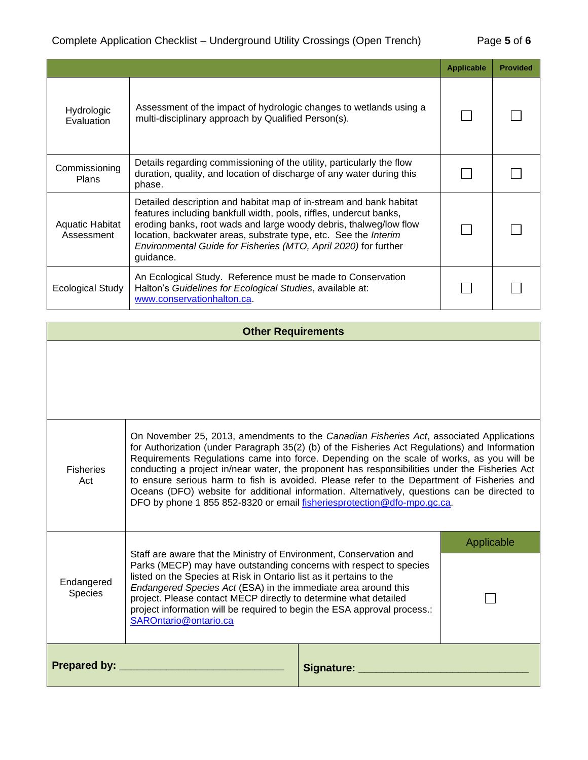|                               |                                                                                                                                                                                                                                                                                                                                                                  | <b>Applicable</b> | <b>Provided</b> |
|-------------------------------|------------------------------------------------------------------------------------------------------------------------------------------------------------------------------------------------------------------------------------------------------------------------------------------------------------------------------------------------------------------|-------------------|-----------------|
| Hydrologic<br>Evaluation      | Assessment of the impact of hydrologic changes to wetlands using a<br>multi-disciplinary approach by Qualified Person(s).                                                                                                                                                                                                                                        |                   |                 |
| Commissioning<br><b>Plans</b> | Details regarding commissioning of the utility, particularly the flow<br>duration, quality, and location of discharge of any water during this<br>phase.                                                                                                                                                                                                         |                   |                 |
| Aquatic Habitat<br>Assessment | Detailed description and habitat map of in-stream and bank habitat<br>features including bankfull width, pools, riffles, undercut banks,<br>eroding banks, root wads and large woody debris, thalweg/low flow<br>location, backwater areas, substrate type, etc. See the Interim<br>Environmental Guide for Fisheries (MTO, April 2020) for further<br>guidance. |                   |                 |
| Ecological Study              | An Ecological Study. Reference must be made to Conservation<br>Halton's Guidelines for Ecological Studies, available at:<br>www.conservationhalton.ca.                                                                                                                                                                                                           |                   |                 |

## **Other Requirements**

| <b>Fisheries</b><br>Act                                                                                                                                                                                                                                                                                                                                                                                                                                                             | On November 25, 2013, amendments to the Canadian Fisheries Act, associated Applications<br>for Authorization (under Paragraph 35(2) (b) of the Fisheries Act Regulations) and Information<br>Requirements Regulations came into force. Depending on the scale of works, as you will be<br>conducting a project in/near water, the proponent has responsibilities under the Fisheries Act<br>to ensure serious harm to fish is avoided. Please refer to the Department of Fisheries and<br>Oceans (DFO) website for additional information. Alternatively, questions can be directed to<br>DFO by phone 1 855 852-8320 or email fisheriesprotection@dfo-mpo.gc.ca. |            |            |
|-------------------------------------------------------------------------------------------------------------------------------------------------------------------------------------------------------------------------------------------------------------------------------------------------------------------------------------------------------------------------------------------------------------------------------------------------------------------------------------|-------------------------------------------------------------------------------------------------------------------------------------------------------------------------------------------------------------------------------------------------------------------------------------------------------------------------------------------------------------------------------------------------------------------------------------------------------------------------------------------------------------------------------------------------------------------------------------------------------------------------------------------------------------------|------------|------------|
|                                                                                                                                                                                                                                                                                                                                                                                                                                                                                     |                                                                                                                                                                                                                                                                                                                                                                                                                                                                                                                                                                                                                                                                   |            | Applicable |
| Staff are aware that the Ministry of Environment, Conservation and<br>Parks (MECP) may have outstanding concerns with respect to species<br>listed on the Species at Risk in Ontario list as it pertains to the<br>Endangered<br>Endangered Species Act (ESA) in the immediate area around this<br>Species<br>project. Please contact MECP directly to determine what detailed<br>project information will be required to begin the ESA approval process.:<br>SAROntario@ontario.ca |                                                                                                                                                                                                                                                                                                                                                                                                                                                                                                                                                                                                                                                                   |            |            |
| <b>Prepared by:</b>                                                                                                                                                                                                                                                                                                                                                                                                                                                                 |                                                                                                                                                                                                                                                                                                                                                                                                                                                                                                                                                                                                                                                                   | Signature: |            |